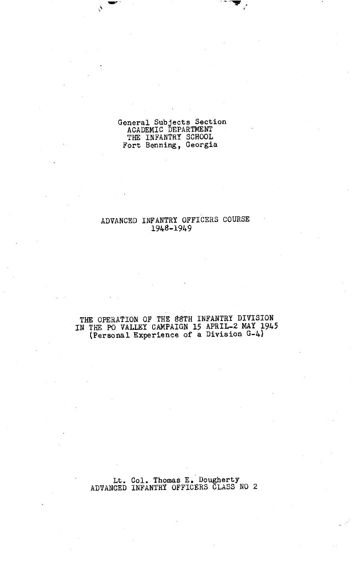## eneral Subjects Section ACADEMIC DEPARTMENT THE INFANTRY SCHOOL Fort Benning , Georgia

 $\frac{1}{s}$ 

## ADVANCED INFANTRY OFFICERS COURSE 1948-1949

### THE OPERATION OF THE 88TH INFANTRY DIVISION IN THE PO VALLEY CAMPAIGN **15** APRIL-2 MAY **19.45**  (Personal Experience of a Division G-4)

Lt. Col. Thomas E. Dougherty ADVANCED INFANTRY OFFICERS CLASS **NO 2**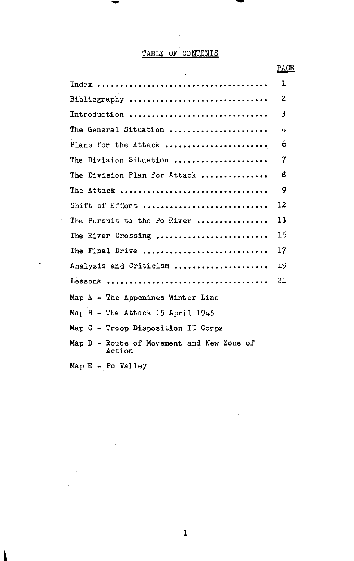# TABLE OF CONTENTS

| <b>Contract Contract</b>                            | PAGE         |
|-----------------------------------------------------|--------------|
|                                                     | 1            |
| Bibliography                                        | $\mathbf{z}$ |
| Introduction                                        | 3            |
| The General Situation                               | 4            |
| Plans for the Attack                                | 6            |
| The Division Situation                              | 7            |
| Division Plan for Attack<br>The                     | 8            |
| The Attack                                          | ਂ 9          |
| Shift of Effort                                     | 12           |
| The Pursuit to the Po River                         | 13           |
| The River Crossing                                  | 16           |
| The Final Drive                                     | 17           |
| Analysis and Criticism                              | 19           |
|                                                     | 21           |
| Map $A$ - The Appenines Winter Line                 |              |
| Map B - The Attack 15 April 1945                    |              |
| Map C - Troop Disposition II Corps                  |              |
| Map D - Route of Movement and New Zone of<br>Action |              |
| $Map E - Po$ Valley                                 |              |
|                                                     |              |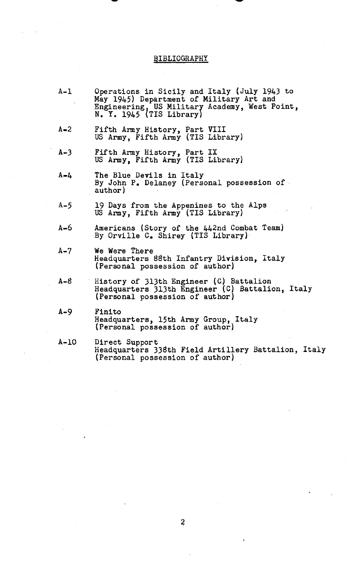# BIBLIOGRAPHY

| $A - I$ | Operations in Sicily and Italy (July 1943 to<br>May 1945) Department of Military Art and<br>Engineering, US Military Academy, West Point,<br>$N. Y. 1945$ (TIS Library) |
|---------|-------------------------------------------------------------------------------------------------------------------------------------------------------------------------|
| $A - 2$ | Fifth Army History, Part VIII<br>US Army, Fifth Army (TIS Library)                                                                                                      |
| $A-3$   | Fifth Army History, Part IX<br>US Army, Fifth Army (TIS Library)                                                                                                        |
| $A - L$ | The Blue Devils in Italy<br>By John P. Delaney (Personal possession of<br>author)                                                                                       |
| $A - 5$ | 19 Days from the Appenines to the Alps<br>US Army, Fifth Army (TIS Library)                                                                                             |
| $A - 6$ | Americans (Story of the 442nd Combat Team)<br>By Orville C. Shirey (TIS Library)                                                                                        |
| $A-7$   | We Were There<br>Headquarters 88th Infantry Division, Italy<br>(Personal possession of author)                                                                          |
| $A - B$ | History of 313th Engineer (C) Battalion<br>Headquarters 313th Engineer (C) Battalion, Italy<br>(Personal possession of author)                                          |
| $A - 9$ | Finito<br>Headquarters, 15th Army Group, Italy<br>(Personal possession of author)                                                                                       |
| $A-10$  | Direct Support<br>Headquarters 338th Field Artillery Battalion, Italy<br>(Personal possession of author)                                                                |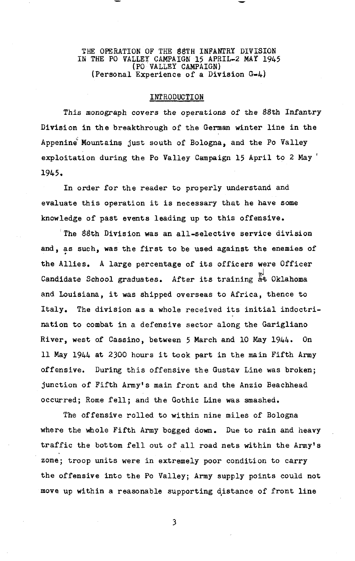#### THE OPERATION OF THE 88TH INFANTRY DIVISION IN THE PO VALLEY CAMPAIGN 15 APRIL-2 MAY 1945 (PO VALLEY CAMPAIGN) (Personal Experience of a Division G-4)

#### INTRODUCTION

This monograph covers the operations of the 88th Infantry Division in the breakthrough of the German winter line in the Appenine Mountains just south of Bologna, and the Po Valley exploitation during the Po Valley Campaign 15 April to 2 May ' 1945.

In order for the reader to properly understand and evaluate this operation it is necessary that he have some knowledge of past events leading up to this offensive.

The 88th Division was an all-selective service division and, as such, was the first to be used against the enemies of the Allies. A large percentage of its officers were Officer Candidate School graduates. After its training at Oklahoma and Louisiana, it was shipped overseas to Africa, thence to Italy. The division as a whole received its initial indoctrination to combat in a defensive sector along the Garigliano River, west of Cassino, between 5 March and 10 May 1944. On 11 May 1944 at 2300 hours it took part in the main Fifth Army offensive. During this offensive the Gustav Line was broken; junction of Fifth Army's main front and the Anzio Beachhead occurred; Rome fell; and the Gothic Line was smashed.

The offensive rolled to within nine miles of Bologna where the whole Fifth Army bogged down. Due to rain and heavy traffic the bottom fell out of all road nets within the Army's zone; troop units were in extremely poor condition to carry the offensive into the Po Valley; Army supply points could not move up within a reasonable supporting distance of front line

 $\overline{\mathbf{3}}$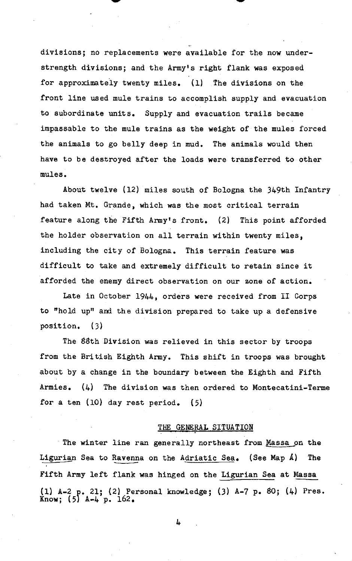divisions; no replacements were available for the now understrength divisions; and the Army's right flank was exposed for approximately twenty miles. (1) The divisions on the front line used mule trains to accomplish supply and evacuation to subordinate units. Supply and evacuation trails became impassable to the mule trains as the weight of the mules forced the animals to go belly deep in mud. The animals would then have to be destroyed after the loads were transferred to other mules.

About twelve (12) miles south of Bologna the 349th Infantry had taken Mt. Grande, which was the most critical terrain feature along the Fifth Army's front. (2) This point afforded the holder observation on all terrain within twenty miles, including the city of Bologna. This terrain feature was difficult to take and extremely difficult to retain since it afforded the enemy direct observation on our zone of action.

Late in October 1944, orders were received from I1 Corps to "hold up" and the division prepared to take up a defensive position. **(3)** 

The 88th Division was relieved in this sector by troops from the British Eighth Army. This shift in troops was brought about by a change in the boundary between the Eighth and Fifth Armies.  $(4)$  The division was then ordered to Montecatini-Terme for a ten (10) day rest period. (5)

#### THE **GENERAL** SITUATION

The winter line ran generally northeast from Massa on the In CENERAL SITUATION<br>
THE GENERAL SITUATION<br>
The winter line ran generally northeast from <u>Massa</u> on the<br>
Ligurian Sea to Ravenna on the Adriatic Sea. (See Map A) The<br>
Fifth Army left flank was hinged on the Ligurian Sea a THE GENERAL SITUATION<br>The winter line ran generally northeast from <u>Massa</u> on the<br>Ligurian Sea to Ravenna on the Adriatic Sea. (See Map A) The<br>Fifth Army left flank was hinged on the <u>Ligurian Sea</u> at Massa<br>(1) A-2 p. 21; (1) A-2 21; (2) Personal knowledge; **(3)** A-7 p. **\$0;** (4) Pres. Know;  $(5)$  A-4 p. 162.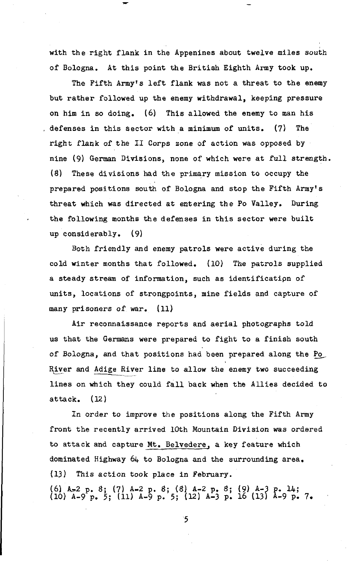with the right flank in the Appenines about twelve miles south of Bologna. At this point the British Eighth Army took up.

The Fifth Army's left flank was not a threat to the enemy but rather followed up the enemy withdrawal, keeping pressure on him in so doing. (6) This allowed the enemy to man his , defenses in this sector with a minimum of units. (7) The right flank of the **I1** Corps zone of action was opposed by nine (9) German Divisions, none of which were at full strength. **8)** These divisions had the primary mission to occupy the prepared positions south of Bologna and stop the Fifth Amy's threat which was directed at entering the Po Valley. During the following months the defenses in this sector were built up considerably. (9)

Both friendly and enemy patrols were active during the cold winter months that followed. (10) The patrols supplied a steady stream of information, such as identificatipn of units, locations of strongpoints, mine fields and capture of many prisoners of war. (11)

Air reconnaissance reports and aerial photographs told us that the Germans were prepared to fight to a finish south of Bologna, and that positions had been prepared along the **Pa**  River and Adige River line to allow the enemy two succeeding lines on which they could fall back when the Allies decided to attack. **(12)** 

In order to improve the positions along the Fifth Army front the recently arrived 10th Mountain Division was ordered to attack and capture Mt. Belvedere, a key feature which dominated Highway 64 to Bologna and the surrounding area. (U) This action took place in February. (6) A-2 p. 8; (7) A-2 p. 8; (8) A-2 p. 8; (9) A-3 p. 14;<br>(10) A-9 p. 5; (11) A-9 p. 5; (12) A-3 p. 16 (13) A-9 p. 7.

 $\overline{5}$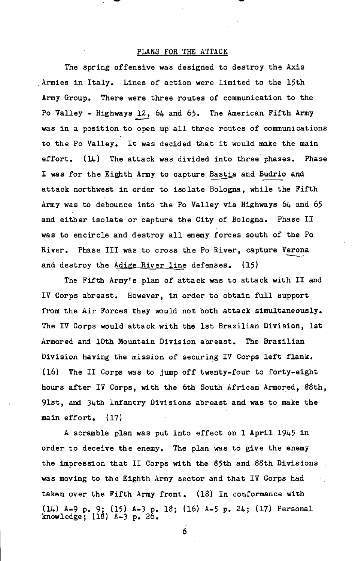## PLANS FOR THE ATTACK

The spring offensive was designed to destroy the Axis Armies in Italy. Lines of action were limited to the 15th Army Group. There were three routes of communication to the Po Valley - Highways  $12$ ,  $64$  and  $65$ . The American Fifth Army was in a position to open up all three routes of communications to the Po Valley. It was decided that it would make the main effort. **(U+)** The attack was divided into three phases. Phase was in a position to open up all three routes of communicat<br>to the Po Valley. It was decided that it would make the ma<br>effort. (14) The attack was divided into three phases. P<br>I was for the Eighth Army to capture Bastia an attack northwest in order to isolate Bologna, while the Fifth Army was to debounce into the Po Valley via Highways 64 and 65 and either isolate or capture the City of Bologna. Phase 11 was to encircle and destroy all enemy forces south of the Po and either isolate or capture the City of Bologna. Phase II<br>was to encircle and destroy all enemy forces south of the Po<br>River. Phase III was to cross the Po River, capture Verona<br>and destroy the Adige River line defenses. and destroy the  $\frac{\text{Adige River line}}{\text{diver}}$  defenses. (15)

The Fifth Army's plan of attack was to attack with I1 and IV Corps abreast. However, in order to obtain full support from the Air Forces they would not both attack simultaneously. The IV Corps would attack with the 1st Brazilian Division, 1st Armored and 10th Mountain Division abreast. The Brazilian Division having the mission of securing IV Corps left flank. (16) The I1 Corps **was** to jump off twenty-four to forty-eight hours after IV Corps, with the 6th South African Armored, 88th, 9lst, and 34th Infantry Divisions abreast and was to make the main effort. (17)

A scramble plan was put into effect on 1 April 1945 in order to deceive the enemy. The plan was to give the enemy the impression that I1 Corps with the 85th and 88th Divisions was moving to the Eighth Army sector and that IV Corps had taken over the Fifth Army front. (18) In conformance with (14) A-9 p. 9; (15) A-3 p. 18; (16) A-5 p. 24; (17) Personal knowledge;  $(18)$   $A-3$   $p. 25$ .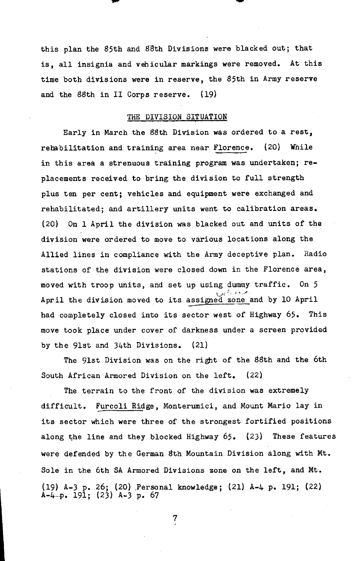this plan the 85th and 83th Divisions were blacked out; that is, all insignia and vehicular markings were removed. At this time both divisions were in reserve, the 85th in Army reserve and the 88th in I1 Corps reserve. (19)

#### **THE** DIVISION SITUATION

Early in March the 88th Division was ordered to a rest, rehabilitation and training area near Florence. (20) While in this area a strenuous training program was undertaken; replacements received to bring the division to full strength plus ten per cent; vehicles and equipment were exchanged and rehabilitated; and artillery units went to calibration areas. (20) On 1 April the division was blacked out and units of the division were ordered to move to various locations along the Allied lines in compliance with the Army deceptive plan. Radio stations of the division were closed down in the Florence area, moved with troop units, and set up using dummy traffic. On 5  $\mathcal{L}$ <sup>0</sup>, *3*  $\mathcal{L}$ April the division moved to its assigned zoneand by 10 April had completely closed into its sector west of Highway 65. This move took place under cover of darkness under a screen provided by the 9lst and 34th Divisions. (21)

The 9lst Division was on the right of the 88th and the 6th South African Armored Division on the left. (22)

The terrain to the front of the division was extremely difficult. Furcoli Ridge, Monterumici, and Mount Mario lay in its sector which were three of the strongest fortified positions along the line and they blocked Highway 65. (23) These features were defended by the German 8th Mountain Division along with Mt. Sole in the 6th SA Armored Divisions zone on the left, and Mt. (19) A-3 p. 26; (20) .Personal knowledge; (21) A-4 **p.** 191; (22) A-4 **9.** 191; (23) A-3 p. 67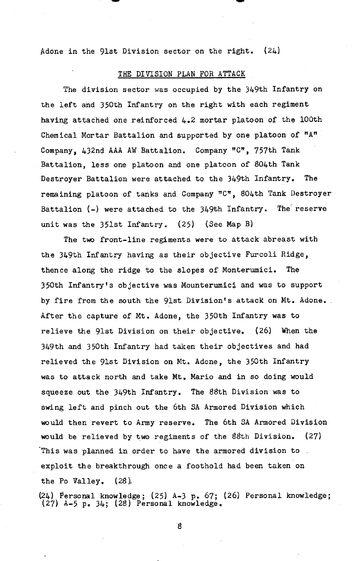Adone in the 9lst Division sector on the right. (24)

#### **THE** DIVISION PLAN FOR ATTACK

The division sector was occupied by the 349th Infantry on the left and 350th Infantry on the right with each regiment having attached one reinforced 4.2 mortar platoon of the 100th Chemical Mortar Battalion and supported by one platoon of "A" Company, 432nd AAA AW Battalion. Company "C", 757th Tank Battalion, less one platoon and one platoon of 804th Tank Destroyer Battalion were attached to the 349th Infantry. The remaining platoon of tanks and Company "C", 804th Tank Destroyer Battalion (-) were attached to the 349th Infantry. The reserve unit was the 351st Infantry. (25) (See Map B)

The two front-line regiments were to attack abreast with the 349th Infantry having as their objective Furcoli Ridge, thence along the ridge to the slopes of Monterumici. The 350th Infantry's objective was Mounterumici and was to support by fire from the south the 9lst Division's attack on Mt. Adone. After the capture of Mt. Adone, the 350th Infantry was to relieve the 9lst Division on their objective. (26) When the 349th and 350th Infantry had taken their objectives and had relieved the 9lst Division on Mt. Adone, the 350th Infantry was to attack north and take Mt. Mario and in so doing would squeeze out the 349th Infantry. The 88th Division was to swing left and pinch out the 6th SA Armored Division which would then revert to Army reserve. The 6th SA Armored Division would be relieved by two regiments of the 88th Division. (27) This was planned in order to have the armored division to. exploit the breakthrough once a foothold had been taken on the Po Valley.  $(28)$ ,

(24) Personal knowledge; **(25)** A-3 p. 67; (26) Personal knowledge; (27) A-5 p. 34; (28) Personal knowledge.

 $\boldsymbol{8}$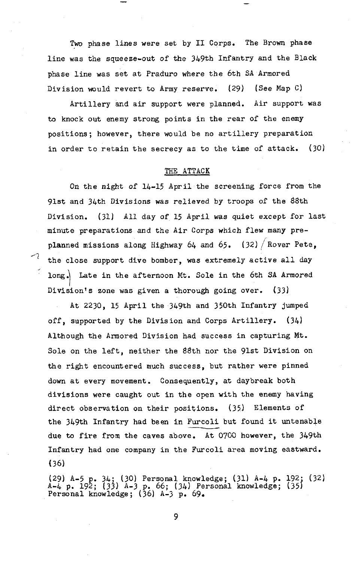Two phase lines were set by I1 Corps. The Brown phase line was the squeeze-out of the 349th Infantry and the Black phase line was set at Praduro where the 6th SA Armored Division would revert to Army reserve. (29) (See Map **C)** 

Artillery and air support were planned. Air support was to knock out enemy strong points in the rear of the enemy positions; however, there would be no artillery preparation in order to retain the secrecy as to the time of attack. (30)

#### THE ATTACK

On the night of 14-15 April the screening force from the 91st and 34th Divisions was relieved by troops of the 88th Division. (31) All **day** of 15 April was quiet except for last minute preparations and the Air Corps which flew many preplanned missions along Highway 64 and 65. (32) / Rover Pete, the close support dive bomber, was extremely active **all** day long. Late in the afternoon Mt. Sole in the 6th SA Armored Division's zone was given a thorough going over. (33)

At 2230, 15 April the 349th and 350th Infantry jumped off, supported by the Division and Corps Artillery. (34) Although the Armored Division had success in capturing Wt. Sole on the left, neither the 88th nor the 9lst Division on the right encountered much success, but rather were pinned down at every movement. Consequently, at daybreak both divisions were caught out in the open with the enemy having direct observation on their positions. (35) Elements of the 3l+9th Infantry had been in Furcoli but found it untenable due to fire from the caves above. At 0760 however, the 349th Infantry had one company in the Furcoli area moving eastward. (36)

(29) A-5 p. 34; (30) Personal knowledge; (31) A-4 p. 192. (32) A-4 p. 192; (33) A-3 p. 66; (34) Personal knowledge; (351 Personal knowledge; (36) A-3 p. 69.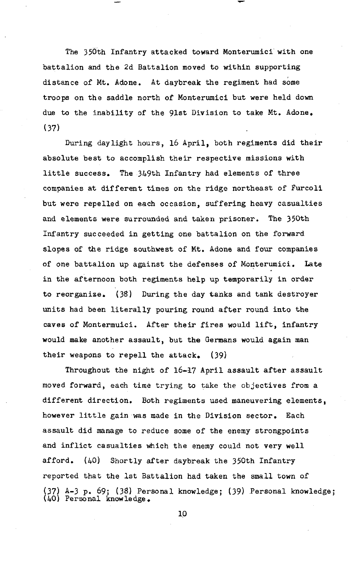The 350th Infantry attacked toward Monterumici with one battalion and the 2d Battalion moved to within supporting distance of Mt. Adone. At daybreak the regiment had some troops on the saddle north of Monterumici but were held down due to the inability of the gist Division to take Mt. Adone. (37)

During daylight hours, 16 April, both regiments did their absolute best to accomplish their respective missions with little success. The 349th Infantry had elements of three companies at different times on the ridge northeast of Furcoli but were repelled on each occasion, suffering heavy casualties and elements were surrounded and taken prisoner. The 350th Infantry succeeded in getting one battalion on the forward slopes of the ridge southwest of Mt. Adone and four companies of one battalion up against the defenses of Monterumici. Late in the afternoon both regiments help up temporarily in order to reorganize. (38) During the day tanks and tank destroyer units had been literally pouring round after round into the caves of Montermuici. After their fires would lift, infantry would make another assault, but the Germans would again man their weapons to repell the attack.  $(39)$ 

Throughout the night of 16-l7 April assault after assault moved forward, each time trying to **take** the objectives from a different direction. Both regiments used maneuvering elements, however little gain was made in the Division sector. Each assault did manage to reduce some of the enemy strongpoints and inflict casualties which the enemy could not very well afford. (40) Shortly after daybreak the 350th Infantry reported that the 1st Battalion had taken the small town of **(37)** A-3 p. 69; (38) Personal knowledge; (39) Personal knowledge; ( **17)** A-3 p. 69; ( 38) Person<br>(40) Personal knowledge.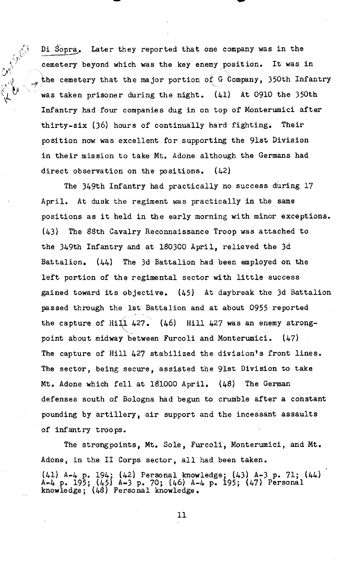Di Sopra. Later they reported that one company was in the cemetery beyond which was the key enemy position. It was in the cemetery that the major portion of G Company, 350th Infantry *\I* was taken prisoner during the night. (41) At 0910 the 350th Infantry had four companies dug in on top of Monterumici after thirty-six (36) hours of continually hard fighting. Their position now was excellent for supporting the 9lst Division in their mission to take Mt. Adone although the Germans had direct observation on the positions.  $(42)$ 

 $e_{\chi}$  ;

 $\zeta_{\mathfrak{p i}}$  . **A** :

> The 349th Infantry had practically no success during 17 April. At dusk the regiment was practically in the same positions as it held in the early morning with minor exceptions. (43) The 88th Cavalry Reconnaissance Troop was attached to the 349th Infantry and at 180300 April, relieved the 3d Battalion. (44) The 3d Battalion had been employed on the left portion of the regimental sector with little success gained toward its objective. (45) At daybreak the 3d Battalion passed through the 1st Battalion and at about 0955 reported the capture of Hill 427.  $(46)$  Hill 427 was an enemy strong-<br>point about midway between Furcoli and Monterumici.  $(47)$ point about midway between Furcoli and Monterumici. The capture of Hill 427 stabilized the division's front lines. The sector, being secure, assisted the 91st Division to take Mt. Adone which fell at 181000 April. (48) The German defenses south of Bologna had begun to crumble after a constant pounding by artillery, air support and the incessant assaults of infantry troops.

The strongpoints, Mt. Sole, Furcoli, Monterumici, and Mt. Adone, in the I1 Corps sector, all had been taken. (41) A-4 p. 194. (42) Personal knowledge; (43) A-3 p. 71; (44) A-4 P. 195; (45j 8-3 p. 70; (46) A-4 p. 195; (47) Personal knowledge ; **(46)** Personal knowledge.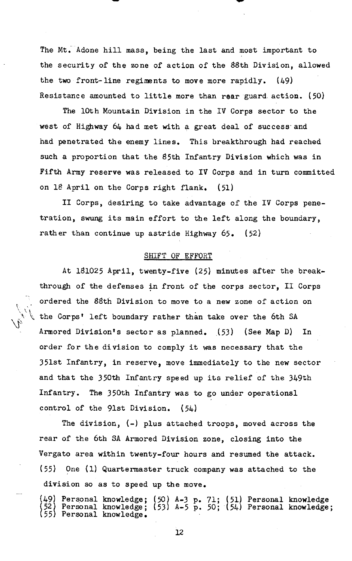The Mt. Adone hill mass, being the last and most important to the security of the zone of action of the 88th Division, allowed the two front-line regiments to move more rapidly. (49) Resistance amounted to little more than rear guard action. (50)

The 10th Mountain Division in the IV Corps sector to the west of Highway 64 had met with a great deal of success and had penetrated the enemy lines. This breakthrough had reached such a proportion that the 85th Infantry Division which was in Fifth Army reserve was released to IV Corps and in turn committed on 18 April on the Corps right flank. (51)

**I1** Corps, desiring to take advantage of the IV Corps penetration, swung its main effort to the left along the boundary, rather than continue up astride Highway 65. (52)

### SHIFT OF EFFORT

 $\mathcal{L} = \mathcal{L} \mathcal{L}$ 

 $\langle \ \rangle$ 

At 181025 April, twenty-five (25) minutes after the breakthrough of the defenses in front of the corps sector, I1 Corps ordered the 88th Division to move to a new zone of action on  $\mathbb{R}$  the Corps' left boundary rather than take over the 6th SA  $\frac{1}{\sqrt{2}}$  th<br>Ar Armored Division's sector as planned. (53) (See Map D) In order for the division to comply it was necessary that the 351st Infantry, in reserve, move immediately to the new sector and that the 350th Infantry speed up its relief of the 349th Infantry. The 350th Infantry was to go under operations1 control of the 91st Division. (54)

The division,  $(-)$  plus attached troops, moved across the rear of the 6th SA Armored Division zone, closing into the Vergato area within twenty-four hours and resumed the attack. (55) One (1) Quartermaster truck company was attached to the division so as to speed up the move.

(49) Personal knowledge; **(50)** A-3 p. 71; (51) Personal knowledge Personal knowledge; (53) A-5 p. 50; (54) Personal knowledge; Personal knowledge.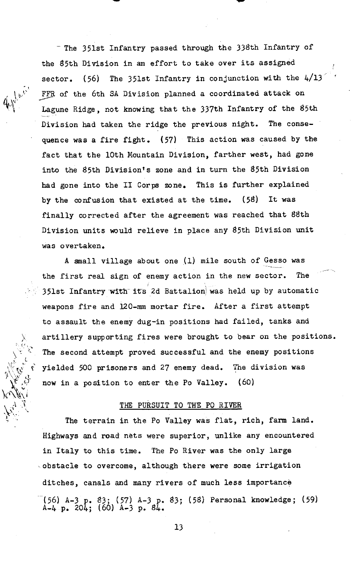- The 351st Infantry passed through the 338th Infantry of the 85th Division in an effort to take over its assigned sector. (56) The 351st Infantry in conjunction with the  $4/13$ FFR of the 6th SA Division planned a coordinated attack on Lagune Ridge, not knowing that the 337th Infantry of the 85th Division had taken the ridge the previous night. The consequence was a fire fight. (57) This action was caused by the fact that the 10th Mountain Division, farther west, had gone into the 85th Division's zone and in turn the 85th Division had gone into the **I1** Corps zone. This is further explained by the confusion that existed at the time. (58) It was finally corrected after the agreement was reached that 88th Division units would relieve in place any 85th Division unit was overtaken.

-,

h **\I** 

A small village about one  $(1)$  mile south of Gesso was the first real sign of enemy action in the new sector. The 351st Infantry with its 2d Battalion was held up by automatic weapons fire and 120-mm mortar fire. After a first attempt to assault the enemy dug-in positions had failed, tanks and X artillery supporting fires were brought to bear on the positions.<br>The second attempt proved successful and the enemy positions yielded 500 prisoners and 27 enemy dead. The division was now in a position to enter the Po Vallev.  $(60)$ The second attempt proved successful and the enemy positions<br>
yielded 500 prisoners and 27 enemy dead. The division was<br>
now in a position to enter the Po Valley. (60)<br>
THE PURSUIT TO THE PO RIVER

The terrain in the Po Valley was flat, rich, farm land. Highways and road nets were superior, unlike any encountered in Italy to this time. The Po River was the only large obstacle to overcome, although there were some irrigation ditches, canals and many rivers of much less importance -(56) A-3 p. **83;** (57) A-3 p. 83; (58) Personal knowledge; (59) A-4 p. 204; (60) A-3 p. 84.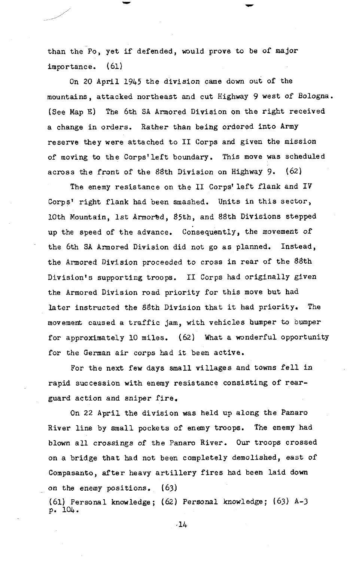than the Po, yet if defended, would prove to be of major importance. (61)

On 20 April 1945 the division came down out of the mountains, attacked northeast and cut Highway 9 west of Bologna. (See Map **E)** The 6th SA Armored Division on the right received a change in orders. Rather than being ordered into Amy reserve they were attached to **I1** Corps and given the mission of moving to the Corps'left boundary. This move was scheduled across the front of the \$\$th Division on Highway 9. (62)

The enemy resistance on the II Corps' left flank and IV Corps' right flank had been smashed. Units in this sector, 10th Mountain, 1st Armored, 85th, and 88th Divisions stepped up the speed of the advance. consequently, the movement of the 6th SA Armored Division did not go as planned. Instead, the Armored Division proceeded to cross in rear of the 88th Division's supporting troops. **I1** Corps had originally given the Armored Division road priority for this move but had later instructed the 88th Division that it had priority. The movement caused a traffic jam, with vehicles humper to bumper for approximately 10 miles. (62) What a wonderful opportunity for the German air corps had it been active.

For the next few days small villages and towns fell in rapid succession with enemy resistance consisting of rearguard action and sniper fire.

On 22 April the division was held up along the Panaro River line by small pockets of enemy troops. The enemy had blown all crossings of the Panaro River. Our troops crossed on a bridge that had not been completely demolished, east of Compasanto, after heavy artillery fires had been laid down on the enemy positions. (63)

(61) Personal knowledge ; (62) Personal knowledge ; (63) A-3 p. 104.

 $-14$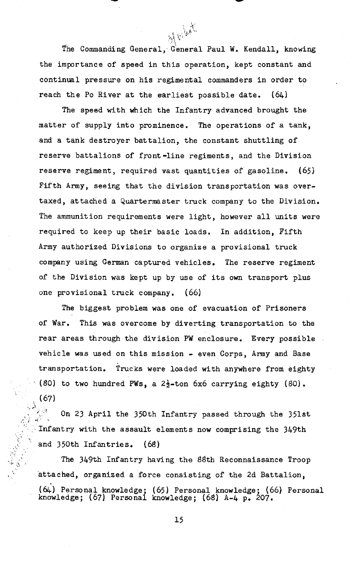of vilute The Commanding General, General Paul W. Kendall, knowing the importance of speed in this operation, kept constant and continual pressure on his regimental commanders in order to reach the Po River at the earliest possible date.  $(64)$ 

The speed with which the Infantry advanced brought the matter of supply into prominence. The operations of a tank, and a tank destroyer battalion, the constant shuttling of reserve battalions of front-line regiments, and the Division reserve regiment, required vast quantities of gasoline. (65) Fifth Army, seeing that the division transportation was overtaxed, attached a Quartermaster truck company to the Division. The ammunition requirements were light, however all units were required to keep up their basic loads. In addition, Fifth Army authorized Divisions to organize a provisional truck company using German captured vehicles. The reserve regiment of the Division was kept up by use of its own transport plus one provisional truck company. (66)

The biggest problem was one of evacuation of Prisoners of War. This was overcome by diverting transportation to the rear areas through the division PW enclosure. Every possible vehicle was used on this mission - even Corps, Army and Base transportation. Trucks were loaded with anywhere from eighty ' (80) to two hundred PWs, a 23-ton **6x6** carrying eighty (80).  $\begin{bmatrix} \sqrt{67} \ \frac{1}{2} & \frac{1}{2} \end{bmatrix}$ 

**<sup>1</sup>**,. On 23 April the 350th Infantry passed through the 351st *,!,I* .I' , Infantry with the assault elements now comprising the 349th and 350th Infantries. (68) **,. ,... ,... ,... ,... ,...**<br>The 349th Infantry having the 88th Reconnaissance Troop

**XJ** 

attached, organized a force consisting of the 2d Battalion, (&) Personal knowledge; (65) Personal knowledge; (66) Personal knowledge; (67) Personal knowledge; (68) **A-4** p. 207.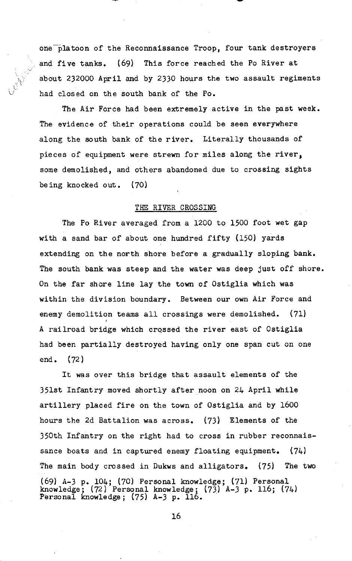one platoon of the Reconnaissance Troop, four tank destroyers and five tanks. (69) This force reached the Po River at about 232000 April and by 2330 hours the two assault regiments had closed on the south bank of the Po.

**i** 

The Air Force had been extremely active in the past week. The evidence of their operations could be seen everywhere along the south bank of the river. Literally thousands of pieces of equipment were strewn for miles along the river, some demolished, and others abandoned due to crossing sights being knocked out. (70)

#### THE RIVER CROSSING

The Po River averaged from a 1200 to 1500 foot wet gap with a sand bar of about one hundred fifty (150) yards extending on the north shore before a gradually sloping bank. The south bank was steep and the water was deep just off shore. On the far shore line lay the town of Ostiglia which was within the division boundary. Between our own Air Force and enemy demolition teams all crossings were demolished. (71) A railroad bridge which crqssed the river east of Ostiglia had been partially destroyed having only one span cut on one end. (72)

It was over this bridge that assault elements of the 351st Infantry moved shortly after noon on 24 April while artillery placed fire on the town of Ostiglia and by 1600 hours the 2d Battalion was across. (73) Elements of the 350th Infantry on the right had to cross in rubber reconnaissance boats and in captured enemy floating equipment.  $(74)$ The main body crossed in Dukws and alligators. (75) The two (69) A-3 p. 104; (70) Personal knowledge; (71) Personal knowledge; (72) Personal knowledge; (73) A-3 p. 116; (74)<br>Personal knowledge; (75) A-3 p. 116.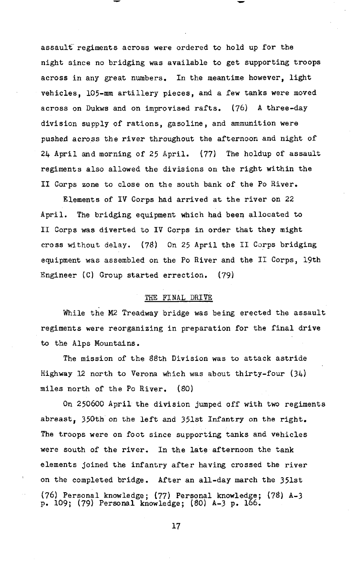assault regiments across were ordered to hold up for the night since no bridging was available to get supporting troops across in any great numbers. In the meantime however, light vehicles, 105-mm artillery pieces, and a few tanks were moved across on Dukws and on improvised rafts. (76) **A** three-day division supply of rations, gasoline, and ammunition were pushed across the river throughout the afternoon and night of **24** April **and** morning of 25 April. (77) The holdup of assault regiments also allowed the divisions on the right within the I1 Corps zone to close on the south bank of the Po River.

Elements of IV Corps had arrived at the river on 22 April. The bridging equipment which had been allocated to I1 Corps was diverted to IV Corps in order that they might cross without delay.  $(78)$  On 25 April the II Corps bridging equipment was assembled on the Po River and the I1 Corps, 19th Engineer (C) Group started errection. (79)

#### THE FINAL DRIVE

While the M2 Treadway bridge was being erected the assault regiments were reorganizing in preparation for the final drive to the Alps Mountains.

The mission of the 88th Division was to attack astride Highway 12 north to Verona which was about thirty-four  $(34)$ miles north of the Po River. (80)

On 250600 April the division jumped off with two regiments abreast, 350th on the left and 351st Infantry on the right. The troops were on foot since supporting tanks and vehicles were south of the river. In the late afternoon the tank elements joined the infantry after having crossed the river on the completed bridge. After an all-day march the 351st (76) Personal knowledge; (77) Personal knowledge; (78) A-3<br>p. 109; (79) Personal knowledge; (80) A-3 p. 166.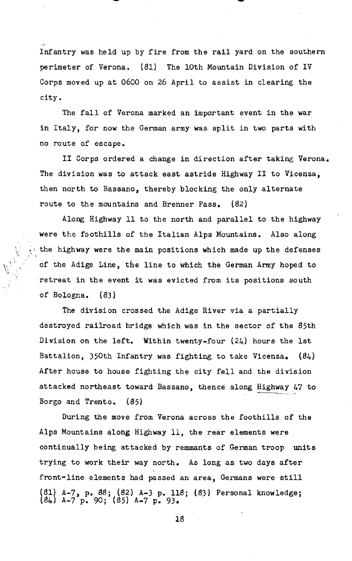Infantry was held up by fire from the rail yard on the southern perimeter of Verona. (81) The 10th Mountain Division of IV Corps moved up at 0600 on 26 April to assist in clearing the city.

The fall of Verona marked an important event in the war in Italy, for now the German army was split in two parts with no route of escape.

I1 Corps ordered a change in direction after taking Verona. The division was to attack east astride Highway **I1** to Vicenza, then north to Bassano, thereby blocking the only alternate route to the mountains and Brenner Pass. (82)

Along Highway 11 to the north and parallel to the highway were the foothills of the Italian Alps Mountains. Also along the highway were the main positions which made up the defenses of the Adige Line, the line to which the German Army hoped to retreat in the event it was evicted from its positions south of Bologna. (83)

The division crossed the Adige River via a partially destroyed railroad bridge which was in the sector of the 85th Division on the left. Within twenty-four (24) hours the 1st Battalion, 350th Infantry was fighting to take Vicenza.  $(84)$ After house to house fighting the city fell and the division attacked northeast toward Bassano, thence along  $\frac{\text{Highway}}{47}$  to Borgo and Trento. (85)

During the move from Verona across the foothills of the Alps Mountains along Highway 11, the rear elements were continually being attacked by remmants of German troop units trying to work their way north. As long as two days after front-line elements **had** passed an area, Germans were still (81) A-7, p. 88; (82) A-3 p. 118; (83) Personal knowledge;<br>(84) A-7 p. 90; (85) A-7 p. 93.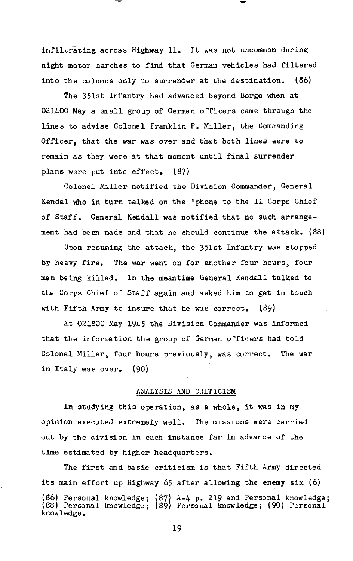infiltrating across Highway 11. It was not uncommon during night motor marches to find that German vehicles had filtered into the columns only to surrender at the destination. (86)

The 351st Infantry had advanced beyond Borgo when at 021400 May a small group of German officers came through the lines to advise Colonel Franklin P. Miller, the Commanding Officer, that the war was over and that both lines were to remain as they were at that moment until final surrender plans were put into effect. **(87)** 

Colonel Miller notified the Division Commander, General Kendal who in turn talked on the 'phone to the I1 Corps Chief of Staff. General Kendall was notified that no such arrangement had been made and that he should continue the attack. (88)

Upon resuming the attack, the 351st Infantry was stopped by heavy fire. The war went on for another four hours, four men being killed. In the meantime General Kendall talked to the Corps Chief of Staff again and asked him to get in touch with Fifth Army to insure that he was correct.  $(89)$ 

**At** 021800 May 1945 the Division Commander was informed that the information the group of German officers had told Colonel Miller, four hours previously, was correct. The war in Italy was over. (90)

#### ANALYSIS AND CRITICISM

In studying this operation, as a whole, it was in my opinion executed extremely well. The missions were carried out by the division in each instance far in advance of the time estimated by higher headquarters.

The first and basic criticism is that Fifth Army directed its main effort up Highway 65 after allowing the enemy six (6) (86) Personal knowledge; (87) A-4 p. 219 and Personal knowledge; (88) Personal knowledge; (89) Personal knowledge; (90) Personal knowledge.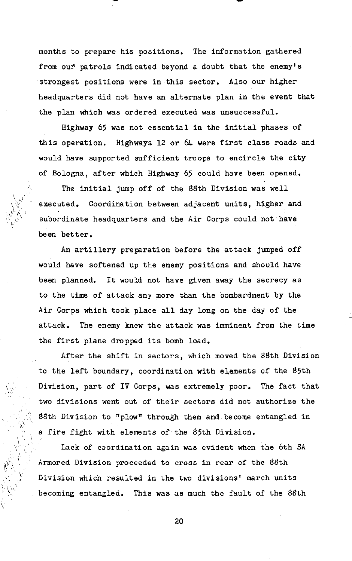months to prepare his positions. The information gathered from our' patrols indicated beyond a doubt that the enemy's strongest positions were in this sector. Also our higher headquarters did not have an alternate plan in the event that the plan which was ordered executed was unsuccessful.

Highway 65 was not essential in the initial phases of this operation. Highways 12 or  $64$  were first class roads and would have supported sufficient troops to encircle the city of Bologna, after which Highway 65 could have been opened.

The initial jump off of the 88th Division was well executed. Coordination between adjacent units, higher and subordinate headquarters and the Air Corps could not have be en better .

 $\hat{\lambda}$ ,  $\hat{\lambda}$ 

An artillery preparation before the attack jumped off would have softened up the enemy positions and should have been planned. It would not have given away the secrecy as to the time of attack any more than the bombardment by the Air Corps which took place all day long on the day of the attack. The enemy knew the attack was imminent from the time the first plane dropped its bomb load.

After the shift in sectors, which moved the 88th Division to the left boundary, coordination with elements of the 85th Division, part of IV Corps, was extremely poor. The fact that two divisions went out of their sectors did not authorize the 88th Division to "plow" through them and become entangled in a fire fight with elements of the &5th Division.

Lack of coordination again was evident when the 6th **SA**  Armored Division proceeded to cross in rear of the 88th Division which resulted in the two divisions' march units becoming entangled. This was as much the fault of the 88th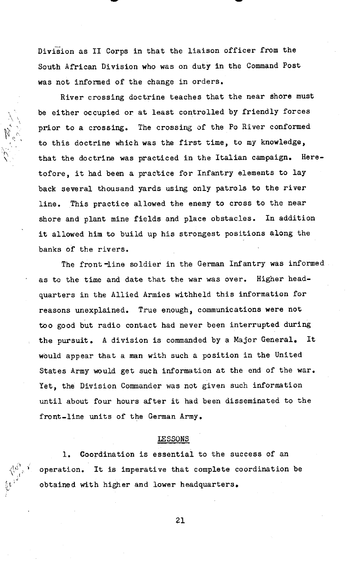Division as II Corps in that the liaison officer from the South African Division who was on duty in the Command Post was not informed of the change in orders.

 $\mathbb{Z}_{p^{\prime}}$ 

**n** 

 $\vert \nu^3$ 

River crossing doctrine teaches that the near shore must be either occupied or at least controlled by friendly forces prior to a crossing. The crossing af the Po River conformed to this doctrine which was the first time, to my knowledge, \ that the doctrine was practiced in the Italian campaign. Heretofore, it had been a practice for Infantry elements to lay back several thousand yards using only patrols to the river line. This practice allowed the enemy to cross to the near shore and plant mine fields and place obstacles. In addition it allowed him to build up his strongest positions along the banks of the rivers.

The front-line soldier in the German Infantry was informed as to the time and date that the war was over. Higher headquarters in the Allied Armies withheld this information for reasons unexplained. True enough, communications were not too good but radio contact had never been interrupted during the pursuit. **A** division is commanded by a Major General. It would appear that a man with such a position in the United States Army would get such information at the end of the war. Yet, the Division Commander was not given such information until about four hours after it had been disseminated to the front-line units of the German Army.

#### **LESSONS**

1. Coordination is essential to the success of an operation. It is imperative that complete coordination be **e** obtained with higher and lower headquarters.